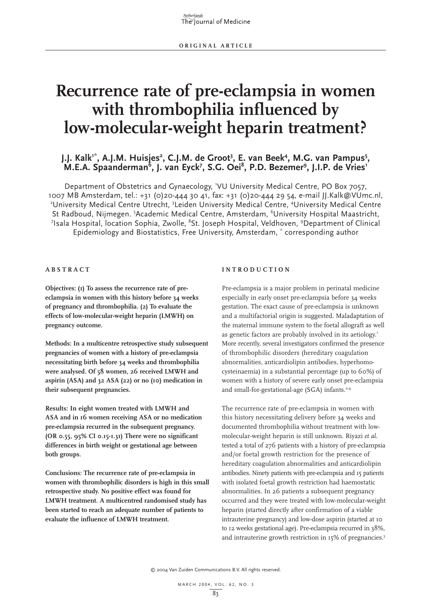# **Recurrence rate of pre-eclampsia in women with thrombophilia influenced by low-molecular-weight heparin treatment?**

# J.J. Kalk<sup>1\*</sup>, A.J.M. Huisjes<sup>2</sup>, C.J.M. de Groot<sup>3</sup>, E. van Beek<sup>4</sup>, M.G. van Pampus<sup>5</sup>, M.E.A. Spaanderman<sup>6</sup>, J. van Eyck<sup>7</sup>, S.G. Oei<sup>8</sup>, P.D. Bezemer<sup>9</sup>, J.I.P. de Vries<sup>1</sup>

Department of Obstetrics and Gynaecology, 1 VU University Medical Centre, PO Box 7057, 1007 MB Amsterdam, tel.: +31 (0)20-444 30 41, fax: +31 (0)20-444 29 54, e-mail JJ.Kalk@VUmc.nl, <sup>2</sup>University Medical Centre Utrecht, <sup>3</sup>Leiden University Medical Centre, <sup>4</sup>University Medical Centre St Radboud, Nijmegen. <sup>5</sup>Academic Medical Centre, Amsterdam, <sup>6</sup>University Hospital Maastricht,  $^7$ Isala Hospital, location Sophia, Zwolle,  $^8$ St. Joseph Hospital, Veldhoven,  $^9$ Department of Clinical Epidemiology and Biostatistics, Free University, Amsterdam, \* corresponding author

**ABSTRACT**

**Objectives: (1) To assess the recurrence rate of preeclampsia in women with this history before 34 weeks of pregnancy and thrombophilia. (2) To evaluate the effects of low-molecular-weight heparin (LMWH) on pregnancy outcome.** 

**Methods: In a multicentre retrospective study subsequent pregnancies of women with a history of pre-eclampsia necessitating birth before 34 weeks and thrombophilia were analysed. Of 58 women, 26 received LMWH and aspirin (ASA) and 32 ASA (22) or no (10) medication in their subsequent pregnancies.**

**Results: In eight women treated with LMWH and ASA and in 16 women receiving ASA or no medication pre-eclampsia recurred in the subsequent pregnancy. (OR 0.55, 95% CI 0.15-1.31) There were no significant differences in birth weight or gestational age between both groups.** 

**Conclusions: The recurrence rate of pre-eclampsia in women with thrombophilic disorders is high in this small retrospective study. No positive effect was found for LMWH treatment. A multicentred randomised study has been started to reach an adequate number of patients to evaluate the influence of LMWH treatment.** 

# **INTRODUCTION**

Pre-eclampsia is a major problem in perinatal medicine especially in early onset pre-eclampsia before 34 weeks gestation. The exact cause of pre-eclampsia is unknown and a multifactorial origin is suggested. Maladaptation of the maternal immune system to the foetal allograft as well as genetic factors are probably involved in its aetiology.<sup>1</sup> More recently, several investigators confirmed the presence of thrombophilic disorders (hereditary coagulation abnormalities, anticardiolipin antibodies, hyperhomocysteinaemia) in a substantial percentage (up to 60%) of women with a history of severe early onset pre-eclampsia and small-for-gestational-age (SGA) infants.<sup>2-4</sup>

The recurrence rate of pre-eclampsia in women with this history necessitating delivery before 34 weeks and documented thrombophilia without treatment with lowmolecular-weight heparin is still unknown. Riyazi *et al*. tested a total of 276 patients with a history of pre-eclampsia and/or foetal growth restriction for the presence of hereditary coagulation abnormalities and anticardiolipin antibodies. Ninety patients with pre-eclampsia and 15 patients with isolated foetal growth restriction had haemostatic abnormalities. In 26 patients a subsequent pregnancy occurred and they were treated with low-molecular-weight heparin (started directly after confirmation of a viable intrauterine pregnancy) and low-dose aspirin (started at 10 to 12 weeks gestational age). Pre-eclampsia recurred in 38%, and intrauterine growth restriction in 15% of pregnancies.<sup>5</sup>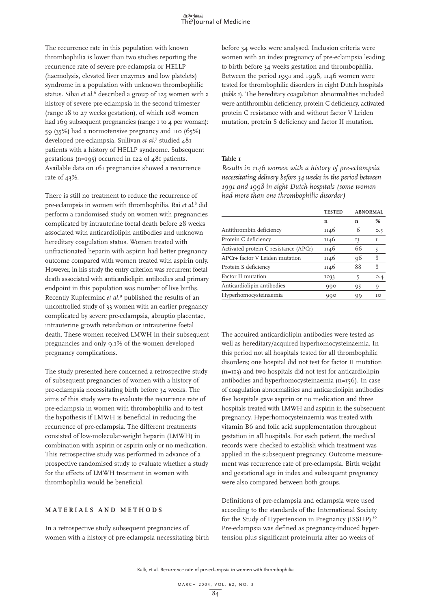The recurrence rate in this population with known thrombophilia is lower than two studies reporting the recurrence rate of severe pre-eclampsia or HELLP (haemolysis, elevated liver enzymes and low platelets) syndrome in a population with unknown thrombophilic status. Sibai *et al*. <sup>6</sup> described a group of 125 women with a history of severe pre-eclampsia in the second trimester (range 18 to 27 weeks gestation), of which 108 women had 169 subsequent pregnancies (range 1 to 4 per woman): 59 (35%) had a normotensive pregnancy and 110 (65%) developed pre-eclampsia. Sullivan *et al*. <sup>7</sup> studied 481 patients with a history of HELLP syndrome. Subsequent gestations (n=195) occurred in 122 of 481 patients. Available data on 161 pregnancies showed a recurrence rate of 43%.

There is still no treatment to reduce the recurrence of pre-eclampsia in women with thrombophilia. Rai *et al*. <sup>8</sup> did perform a randomised study on women with pregnancies complicated by intrauterine foetal death before 28 weeks associated with anticardiolipin antibodies and unknown hereditary coagulation status. Women treated with unfractionated heparin with aspirin had better pregnancy outcome compared with women treated with aspirin only. However, in his study the entry criterion was recurrent foetal death associated with anticardiolipin antibodies and primary endpoint in this population was number of live births. Recently Kupferminc *et al*. <sup>9</sup> published the results of an uncontrolled study of 33 women with an earlier pregnancy complicated by severe pre-eclampsia, abruptio placentae, intrauterine growth retardation or intrauterine foetal death. These women received LMWH in their subsequent pregnancies and only 9.1% of the women developed pregnancy complications.

The study presented here concerned a retrospective study of subsequent pregnancies of women with a history of pre-eclampsia necessitating birth before 34 weeks. The aims of this study were to evaluate the recurrence rate of pre-eclampsia in women with thrombophilia and to test the hypothesis if LMWH is beneficial in reducing the recurrence of pre-eclampsia. The different treatments consisted of low-molecular-weight heparin (LMWH) in combination with aspirin or aspirin only or no medication. This retrospective study was performed in advance of a prospective randomised study to evaluate whether a study for the effects of LMWH treatment in women with thrombophilia would be beneficial.

### **MATERIALS AND METHODS**

In a retrospective study subsequent pregnancies of women with a history of pre-eclampsia necessitating birth before 34 weeks were analysed. Inclusion criteria were women with an index pregnancy of pre-eclampsia leading to birth before 34 weeks gestation and thrombophilia. Between the period 1991 and 1998, 1146 women were tested for thrombophilic disorders in eight Dutch hospitals (*table 1*). The hereditary coagulation abnormalities included were antithrombin deficiency, protein C deficiency, activated protein C resistance with and without factor V Leiden mutation, protein S deficiency and factor II mutation.

#### **Table 1**

*Results in 1146 women with a history of pre-eclampsia necessitating delivery before 34 weeks in the period between 1991 and 1998 in eight Dutch hospitals (some women had more than one thrombophilic disorder)*

|                                       | <b>TESTED</b> | <b>ABNORMAL</b> |               |
|---------------------------------------|---------------|-----------------|---------------|
|                                       | n             | n               | %             |
| Antithrombin deficiency               | 1146          | 6               | O.5           |
| Protein C deficiency                  | 1146          | 13              | T             |
| Activated protein C resistance (APCr) | 1146          | 66              | 5             |
| APCr+ factor V Leiden mutation        | 1146          | 96              | $\mathsf{\&}$ |
| Protein S deficiency                  | 1146          | 88              | 8             |
| Factor II mutation                    | 1033          | 5               | O.4           |
| Anticardiolipin antibodies            | 990           | 95              | 9             |
| Hyperhomocysteinaemia                 | 990           | 99              | TO            |
|                                       |               |                 |               |

The acquired anticardiolipin antibodies were tested as well as hereditary/acquired hyperhomocysteinaemia. In this period not all hospitals tested for all thrombophilic disorders; one hospital did not test for factor II mutation (n=113) and two hospitals did not test for anticardiolipin antibodies and hyperhomocysteinaemia (n=156). In case of coagulation abnormalities and anticardiolipin antibodies five hospitals gave aspirin or no medication and three hospitals treated with LMWH and aspirin in the subsequent pregnancy. Hyperhomocysteinaemia was treated with vitamin B6 and folic acid supplementation throughout gestation in all hospitals. For each patient, the medical records were checked to establish which treatment was applied in the subsequent pregnancy. Outcome measurement was recurrence rate of pre-eclampsia. Birth weight and gestational age in index and subsequent pregnancy were also compared between both groups.

Definitions of pre-eclampsia and eclampsia were used according to the standards of the International Society for the Study of Hypertension in Pregnancy (ISSHP).<sup>10</sup> Pre-eclampsia was defined as pregnancy-induced hypertension plus significant proteinuria after 20 weeks of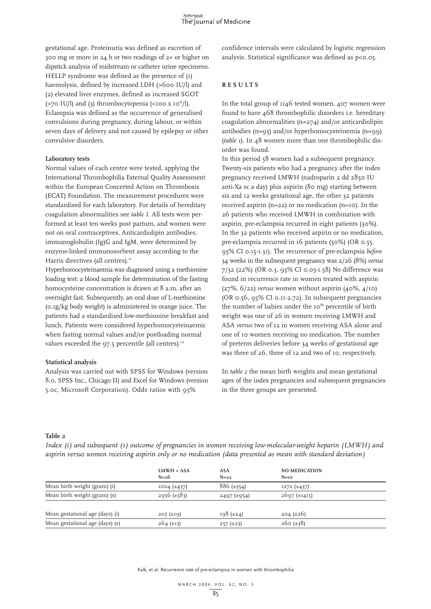gestational age. Proteinuria was defined as excretion of 300 mg or more in 24 h or two readings of 2+ or higher on dipstick analysis of midstream or catheter urine specimens. HELLP syndrome was defined as the presence of (1) haemolysis, defined by increased LDH (>600 IU/l) and (2) elevated liver enzymes, defined as increased SGOT (>70 IU/l) and (3) thrombocytopenia (<100 x 10 $^9$ /l). Eclampsia was defined as the occurrence of generalised convulsions during pregnancy, during labour, or within seven days of delivery and not caused by epilepsy or other convulsive disorders.

# **Laboratory tests**

Normal values of each centre were tested, applying the International Thrombophilia External Quality Assessment within the European Concerted Action on Thrombosis (ECAT) Foundation. The measurement procedures were standardised for each laboratory. For details of hereditary coagulation abnormalities see *table I*. All tests were performed at least ten weeks post partum, and women were not on oral contraceptives. Anticardiolipin antibodies, immunoglobulin (Ig)G and IgM, were determined by enzyme-linked immunosorbent assay according to the Harris directives (all centres). $<sup>11</sup>$ </sup>

Hyperhomocysteinaemia was diagnosed using a methionine loading test: a blood sample for determination of the fasting homocysteine concentration is drawn at 8 a.m. after an overnight fast. Subsequently, an oral dose of L-methionine (0.1g/kg body weight) is administered in orange juice. The patients had a standardised low-methionine breakfast and lunch. Patients were considered hyperhomocysteinaemic when fasting normal values and/or postloading normal values exceeded the 97.5 percentile (all centres).<sup>12</sup>

# **Statistical analysis**

Analysis was carried out with SPSS for Windows (version 8.0, SPSS Inc., Chicago II) and Excel for Windows (version 5.0c, Microsoft Corporation). Odds ratios with 95%

confidence intervals were calculated by logistic regression analysis. Statistical significance was defined as p<0.05.

# **RESULTS**

In the total group of 1146 tested women, 407 women were found to have 468 thrombophilic disorders i.e. hereditary coagulation abnormalities (n=274) and/or anticardiolipin antibodies (n=95) and/or hyperhomocysteinemia (n=99) (*table 1*). In 48 women more than one thrombophilic disorder was found.

In this period 58 women had a subsequent pregnancy. Twenty-six patients who had a pregnancy after the index pregnancy received LMWH (nadroparin 2 dd 2850 IU anti-Xa sc a day) plus aspirin (80 mg) starting between six and 12 weeks gestational age, the other 32 patients received aspirin (n=22) or no medication (n=10). In the 26 patients who received LMWH in combination with aspirin, pre-eclampsia recurred in eight patients (30%). In the 32 patients who received aspirin or no medication, pre-eclampsia recurred in 16 patients (50%) (OR 0.55, 95% CI 0.15-1.31). The recurrence of pre-eclampsia *before* 34 weeks in the subsequent pregnancy was 2/26 (8%) *versus* 7/32 (22%) (OR 0.3, 95% CI 0.05-1.58) No difference was found in recurrence rate in women treated with aspirin (27%, 6/22) *versus* women without aspirin (40%, 4/10) (OR 0.56, 95% CI 0.11-2.72). In subsequent pregnancies the number of babies under the 10<sup>th</sup> percentile of birth weight was one of 26 in women receiving LMWH and ASA *versus* two of 12 in women receiving ASA alone and one of 10 women receiving no medication. The number of preterm deliveries before 34 weeks of gestational age was three of 26, three of 12 and two of 10, respectively.

In *table 2* the mean birth weights and mean gestational ages of the index pregnancies and subsequent pregnancies in the three groups are presented.

# **Table 2**

*Index (i) and subsequent (s) outcome of pregnancies in women receiving low-molecular-weight heparin (LMWH) and aspirin versus women receiving aspirin only or no medication (data presented as mean with standard deviation)*

|                                 | $LMWH + ASA$<br>$N=26$ | ASA<br>$N=22$      | <b>NO MEDICATION</b><br>$N=10$ |  |
|---------------------------------|------------------------|--------------------|--------------------------------|--|
| Mean birth weight (gram) (i)    | $1004 \ (\pm 437)$     | $886 (\pm 554)$    | $1272 (+437)$                  |  |
| Mean birth weight (gram) (s)    | $2956 \ (\pm 583)$     | $2497 \ (\pm 954)$ | $2697 \, (\pm 1415)$           |  |
| Mean gestational age (days) (i) | 205 (±19)              | $198 (\pm 24)$     | $204 \ (\pm 26)$               |  |
| Mean gestational age (days) (s) | $264 \ (\pm 13)$       | $257 (\pm 23)$     | $260 \left( \pm 38 \right)$    |  |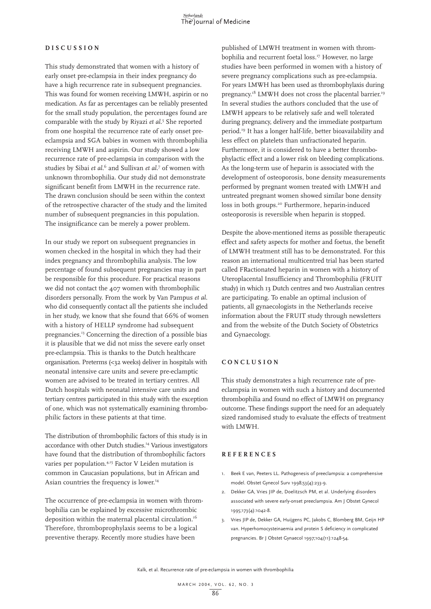# **DISCUSSION**

This study demonstrated that women with a history of early onset pre-eclampsia in their index pregnancy do have a high recurrence rate in subsequent pregnancies. This was found for women receiving LMWH, aspirin or no medication. As far as percentages can be reliably presented for the small study population, the percentages found are comparable with the study by Riyazi *et al*. <sup>5</sup> She reported from one hospital the recurrence rate of early onset preeclampsia and SGA babies in women with thrombophilia receiving LMWH and aspirin. Our study showed a low recurrence rate of pre-eclampsia in comparison with the studies by Sibai *et al*. <sup>6</sup> and Sullivan *et al*. <sup>7</sup> of women with unknown thrombophilia. Our study did not demonstrate significant benefit from LMWH in the recurrence rate. The drawn conclusion should be seen within the context of the retrospective character of the study and the limited number of subsequent pregnancies in this population. The insignificance can be merely a power problem.

In our study we report on subsequent pregnancies in women checked in the hospital in which they had their index pregnancy and thrombophilia analysis. The low percentage of found subsequent pregnancies may in part be responsible for this procedure. For practical reasons we did not contact the 407 women with thrombophilic disorders personally. From the work by Van Pampus *et al*. who did consequently contact all the patients she included in her study, we know that she found that 66% of women with a history of HELLP syndrome had subsequent pregnancies.13 Concerning the direction of a possible bias it is plausible that we did not miss the severe early onset pre-eclampsia. This is thanks to the Dutch healthcare organisation. Preterms (<32 weeks) deliver in hospitals with neonatal intensive care units and severe pre-eclamptic women are advised to be treated in tertiary centres. All Dutch hospitals with neonatal intensive care units and tertiary centres participated in this study with the exception of one, which was not systematically examining thrombophilic factors in these patients at that time.

The distribution of thrombophilic factors of this study is in accordance with other Dutch studies.<sup>14</sup> Various investigators have found that the distribution of thrombophilic factors varies per population.<sup>4,15</sup> Factor V Leiden mutation is common in Caucasian populations, but in African and Asian countries the frequency is lower.<sup>14</sup>

The occurrence of pre-eclampsia in women with thrombophilia can be explained by excessive microthrombic deposition within the maternal placental circulation.<sup>16</sup> Therefore, thromboprophylaxis seems to be a logical preventive therapy. Recently more studies have been

published of LMWH treatment in women with thrombophilia and recurrent foetal loss.<sup>17</sup> However, no large studies have been performed in women with a history of severe pregnancy complications such as pre-eclampsia. For years LMWH has been used as thrombophylaxis during pregnancy.<sup>18</sup> LMWH does not cross the placental barrier.<sup>19</sup> In several studies the authors concluded that the use of LMWH appears to be relatively safe and well tolerated during pregnancy, delivery and the immediate postpartum period.19 It has a longer half-life, better bioavailability and less effect on platelets than unfractionated heparin. Furthermore, it is considered to have a better thrombophylactic effect and a lower risk on bleeding complications. As the long-term use of heparin is associated with the development of osteoporosis, bone density measurements performed by pregnant women treated with LMWH and untreated pregnant women showed similar bone density loss in both groups.<sup>20</sup> Furthermore, heparin-induced osteoporosis is reversible when heparin is stopped.

Despite the above-mentioned items as possible therapeutic effect and safety aspects for mother and foetus, the benefit of LMWH treatment still has to be demonstrated. For this reason an international multicentred trial has been started called FRactionated heparin in women with a history of Uteroplacental Insufficiency and Thrombophilia (FRUIT study) in which 13 Dutch centres and two Australian centres are participating. To enable an optimal inclusion of patients, all gynaecologists in the Netherlands receive information about the FRUIT study through newsletters and from the website of the Dutch Society of Obstetrics and Gynaecology.

# **CONCLUSION**

This study demonstrates a high recurrence rate of preeclampsia in women with such a history and documented thrombophilia and found no effect of LMWH on pregnancy outcome. These findings support the need for an adequately sized randomised study to evaluate the effects of treatment with LMWH.

#### **REFERENCES**

- 1. Beek E van, Peeters LL. Pathogenesis of preeclampsia: a comprehensive model. Obstet Gynecol Surv 1998;53(4):233-9.
- 2. Dekker GA, Vries JIP de, Doelitzsch PM, et al. Underlying disorders associated with severe early-onset preeclampsia. Am J Obstet Gynecol 1995;173(4):1042-8.
- 3. Vries JIP de, Dekker GA, Huijgens PC, Jakobs C, Blomberg BM, Geijn HP van. Hyperhomocysteinaemia and protein S deficiency in complicated pregnancies. Br J Obstet Gynaecol 1997;104(11):1248-54.